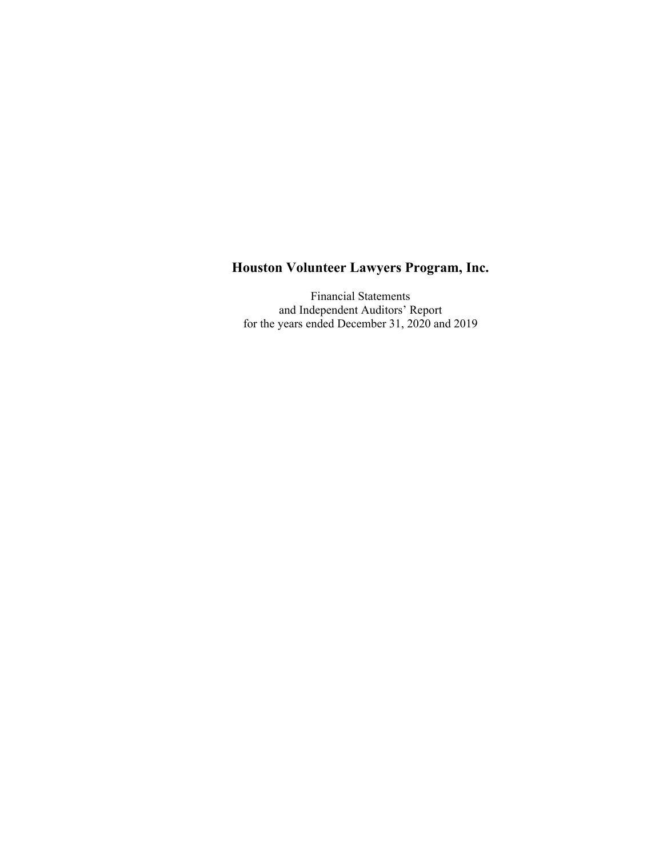Financial Statements and Independent Auditors' Report for the years ended December 31, 2020 and 2019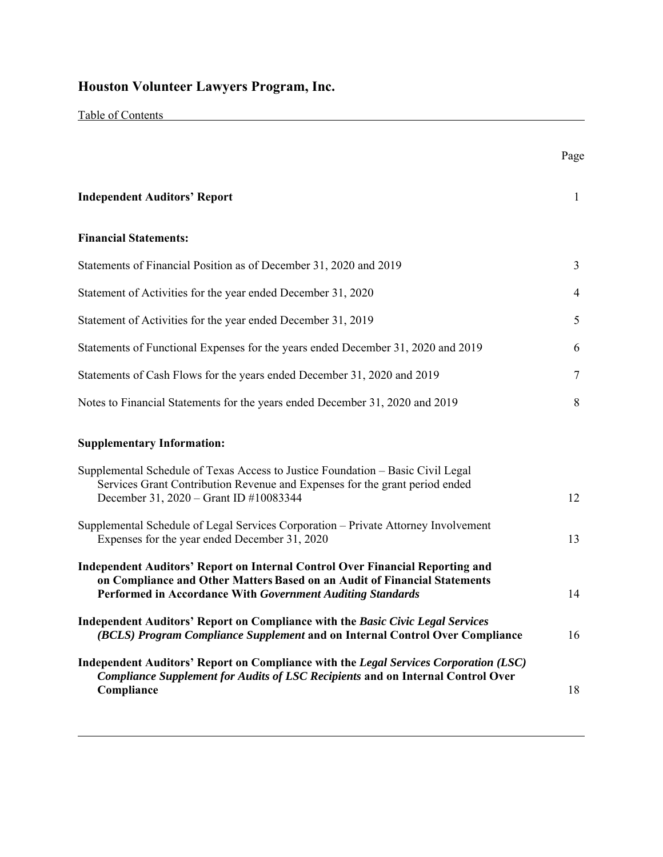Table of Contents

|                                                                                                                                                                                                                          | Page         |
|--------------------------------------------------------------------------------------------------------------------------------------------------------------------------------------------------------------------------|--------------|
| <b>Independent Auditors' Report</b>                                                                                                                                                                                      | $\mathbf{1}$ |
| <b>Financial Statements:</b>                                                                                                                                                                                             |              |
| Statements of Financial Position as of December 31, 2020 and 2019                                                                                                                                                        | 3            |
| Statement of Activities for the year ended December 31, 2020                                                                                                                                                             | 4            |
| Statement of Activities for the year ended December 31, 2019                                                                                                                                                             | 5            |
| Statements of Functional Expenses for the years ended December 31, 2020 and 2019                                                                                                                                         | 6            |
| Statements of Cash Flows for the years ended December 31, 2020 and 2019                                                                                                                                                  | 7            |
| Notes to Financial Statements for the years ended December 31, 2020 and 2019                                                                                                                                             | 8            |
| <b>Supplementary Information:</b>                                                                                                                                                                                        |              |
| Supplemental Schedule of Texas Access to Justice Foundation - Basic Civil Legal<br>Services Grant Contribution Revenue and Expenses for the grant period ended<br>December 31, 2020 - Grant ID #10083344                 | 12           |
| Supplemental Schedule of Legal Services Corporation – Private Attorney Involvement<br>Expenses for the year ended December 31, 2020                                                                                      | 13           |
| Independent Auditors' Report on Internal Control Over Financial Reporting and<br>on Compliance and Other Matters Based on an Audit of Financial Statements<br>Performed in Accordance With Government Auditing Standards | 14           |
| Independent Auditors' Report on Compliance with the Basic Civic Legal Services<br>(BCLS) Program Compliance Supplement and on Internal Control Over Compliance                                                           | 16           |
| Independent Auditors' Report on Compliance with the Legal Services Corporation (LSC)<br>Compliance Supplement for Audits of LSC Recipients and on Internal Control Over<br>Compliance                                    | 18           |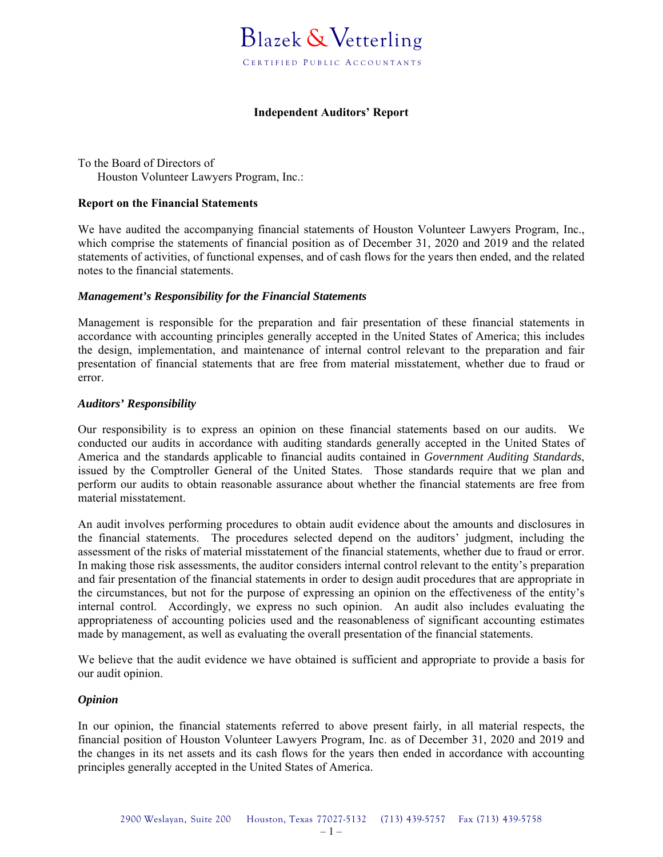

### **Independent Auditors' Report**

To the Board of Directors of Houston Volunteer Lawyers Program, Inc.:

#### **Report on the Financial Statements**

We have audited the accompanying financial statements of Houston Volunteer Lawyers Program, Inc., which comprise the statements of financial position as of December 31, 2020 and 2019 and the related statements of activities, of functional expenses, and of cash flows for the years then ended, and the related notes to the financial statements.

#### *Management's Responsibility for the Financial Statements*

Management is responsible for the preparation and fair presentation of these financial statements in accordance with accounting principles generally accepted in the United States of America; this includes the design, implementation, and maintenance of internal control relevant to the preparation and fair presentation of financial statements that are free from material misstatement, whether due to fraud or error.

#### *Auditors' Responsibility*

Our responsibility is to express an opinion on these financial statements based on our audits. We conducted our audits in accordance with auditing standards generally accepted in the United States of America and the standards applicable to financial audits contained in *Government Auditing Standards*, issued by the Comptroller General of the United States. Those standards require that we plan and perform our audits to obtain reasonable assurance about whether the financial statements are free from material misstatement.

An audit involves performing procedures to obtain audit evidence about the amounts and disclosures in the financial statements. The procedures selected depend on the auditors' judgment, including the assessment of the risks of material misstatement of the financial statements, whether due to fraud or error. In making those risk assessments, the auditor considers internal control relevant to the entity's preparation and fair presentation of the financial statements in order to design audit procedures that are appropriate in the circumstances, but not for the purpose of expressing an opinion on the effectiveness of the entity's internal control. Accordingly, we express no such opinion. An audit also includes evaluating the appropriateness of accounting policies used and the reasonableness of significant accounting estimates made by management, as well as evaluating the overall presentation of the financial statements.

We believe that the audit evidence we have obtained is sufficient and appropriate to provide a basis for our audit opinion.

#### *Opinion*

In our opinion, the financial statements referred to above present fairly, in all material respects, the financial position of Houston Volunteer Lawyers Program, Inc. as of December 31, 2020 and 2019 and the changes in its net assets and its cash flows for the years then ended in accordance with accounting principles generally accepted in the United States of America.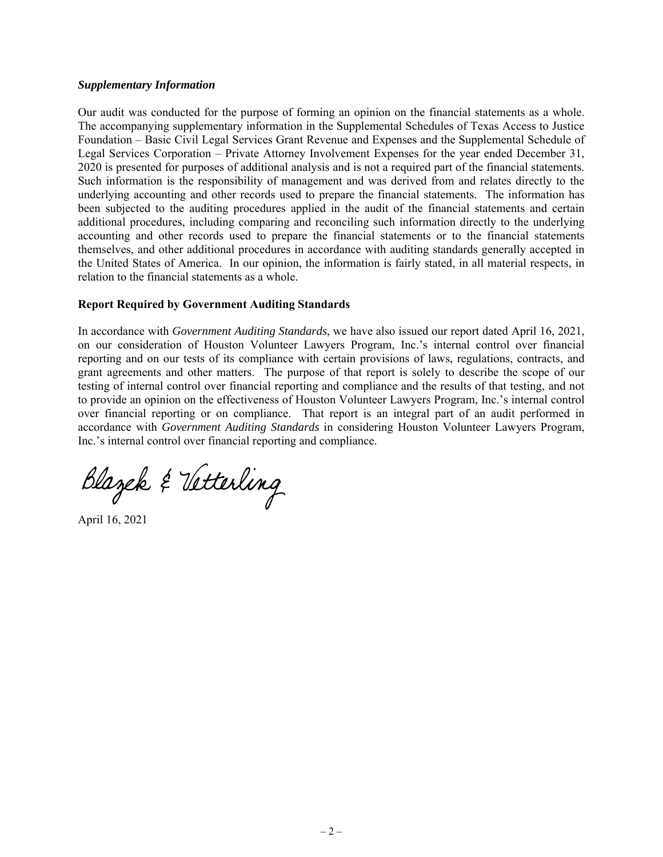#### *Supplementary Information*

Our audit was conducted for the purpose of forming an opinion on the financial statements as a whole. The accompanying supplementary information in the Supplemental Schedules of Texas Access to Justice Foundation – Basic Civil Legal Services Grant Revenue and Expenses and the Supplemental Schedule of Legal Services Corporation – Private Attorney Involvement Expenses for the year ended December 31, 2020 is presented for purposes of additional analysis and is not a required part of the financial statements. Such information is the responsibility of management and was derived from and relates directly to the underlying accounting and other records used to prepare the financial statements. The information has been subjected to the auditing procedures applied in the audit of the financial statements and certain additional procedures, including comparing and reconciling such information directly to the underlying accounting and other records used to prepare the financial statements or to the financial statements themselves, and other additional procedures in accordance with auditing standards generally accepted in the United States of America. In our opinion, the information is fairly stated, in all material respects, in relation to the financial statements as a whole.

### **Report Required by Government Auditing Standards**

In accordance with *Government Auditing Standards*, we have also issued our report dated April 16, 2021, on our consideration of Houston Volunteer Lawyers Program, Inc.'s internal control over financial reporting and on our tests of its compliance with certain provisions of laws, regulations, contracts, and grant agreements and other matters. The purpose of that report is solely to describe the scope of our testing of internal control over financial reporting and compliance and the results of that testing, and not to provide an opinion on the effectiveness of Houston Volunteer Lawyers Program, Inc.'s internal control over financial reporting or on compliance. That report is an integral part of an audit performed in accordance with *Government Auditing Standards* in considering Houston Volunteer Lawyers Program, Inc.'s internal control over financial reporting and compliance.

Blazek & Vetterling

April 16, 2021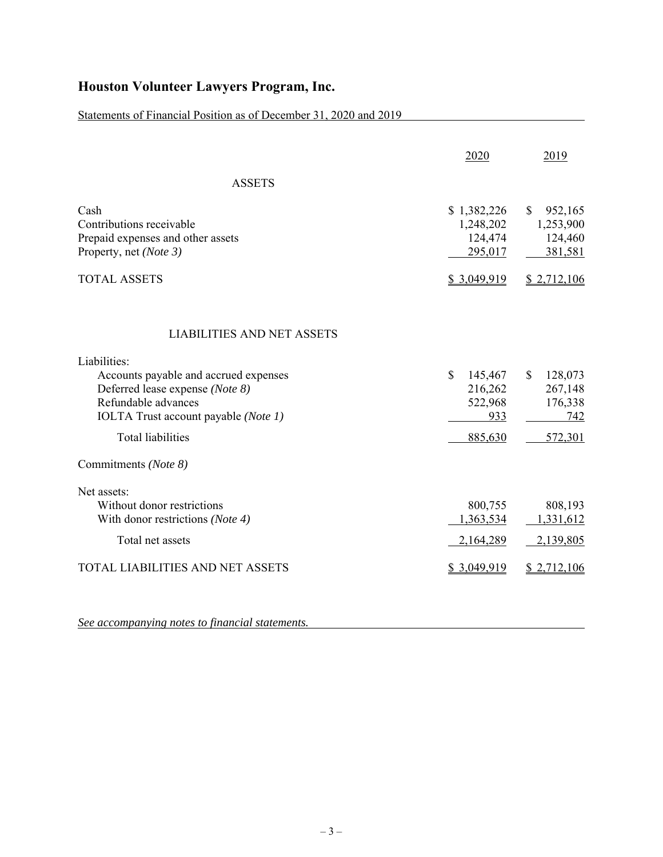# Statements of Financial Position as of December 31, 2020 and 2019

|                                                                                                                                                                                                                          | 2020                                                  | 2019                                                        |
|--------------------------------------------------------------------------------------------------------------------------------------------------------------------------------------------------------------------------|-------------------------------------------------------|-------------------------------------------------------------|
| <b>ASSETS</b>                                                                                                                                                                                                            |                                                       |                                                             |
| Cash<br>Contributions receivable<br>Prepaid expenses and other assets<br>Property, net (Note 3)                                                                                                                          | \$1,382,226<br>1,248,202<br>124,474<br>295,017        | <sup>\$</sup><br>952,165<br>1,253,900<br>124,460<br>381,581 |
| <b>TOTAL ASSETS</b>                                                                                                                                                                                                      | \$ 3,049,919                                          | \$2,712,106                                                 |
| <b>LIABILITIES AND NET ASSETS</b><br>Liabilities:<br>Accounts payable and accrued expenses<br>Deferred lease expense (Note 8)<br>Refundable advances<br>IOLTA Trust account payable (Note 1)<br><b>Total liabilities</b> | \$<br>145,467<br>216,262<br>522,968<br>933<br>885,630 | \$<br>128,073<br>267,148<br>176,338<br>742<br>572,301       |
|                                                                                                                                                                                                                          |                                                       |                                                             |
| Commitments (Note 8)                                                                                                                                                                                                     |                                                       |                                                             |
| Net assets:<br>Without donor restrictions<br>With donor restrictions (Note 4)<br>Total net assets                                                                                                                        | 800,755<br>1,363,534<br>2,164,289                     | 808,193<br>1,331,612<br>2,139,805                           |
| <b>TOTAL LIABILITIES AND NET ASSETS</b>                                                                                                                                                                                  | \$3,049,919                                           | \$2,712,106                                                 |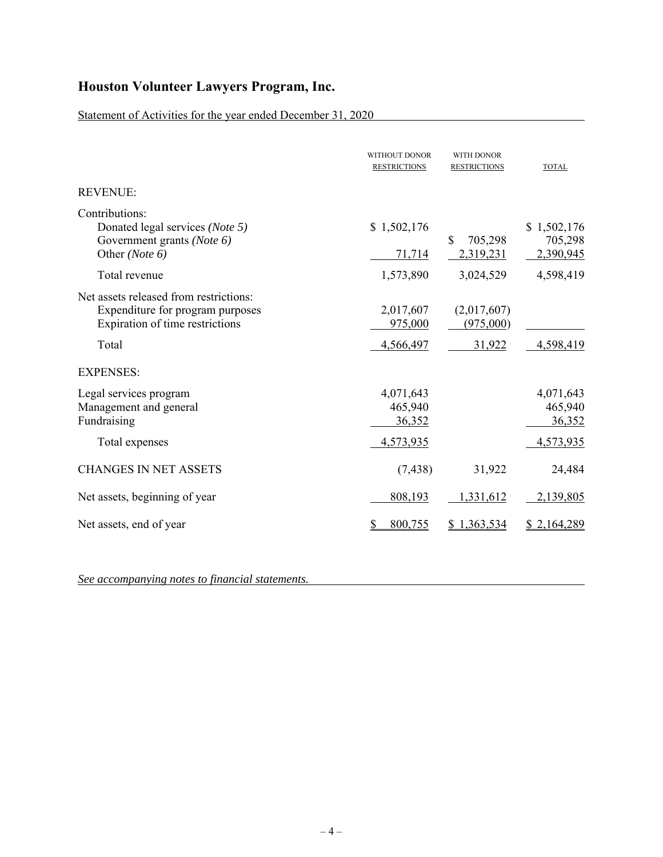# Statement of Activities for the year ended December 31, 2020

|                                                                                                                        | <b>WITHOUT DONOR</b><br><b>RESTRICTIONS</b>        | <b>WITH DONOR</b><br><b>RESTRICTIONS</b> | <b>TOTAL</b>                                |
|------------------------------------------------------------------------------------------------------------------------|----------------------------------------------------|------------------------------------------|---------------------------------------------|
| <b>REVENUE:</b>                                                                                                        |                                                    |                                          |                                             |
| Contributions:<br>Donated legal services (Note 5)<br>Government grants (Note 6)<br>Other (Note 6)                      | \$1,502,176<br>71,714                              | S<br>705,298<br>2,319,231                | \$1,502,176<br>705,298<br>2,390,945         |
| Total revenue                                                                                                          | 1,573,890                                          | 3,024,529                                | 4,598,419                                   |
| Net assets released from restrictions:<br>Expenditure for program purposes<br>Expiration of time restrictions<br>Total | 2,017,607<br>975,000<br>4,566,497                  | (2,017,607)<br>(975,000)<br>31,922       | 4,598,419                                   |
| <b>EXPENSES:</b>                                                                                                       |                                                    |                                          |                                             |
| Legal services program<br>Management and general<br>Fundraising<br>Total expenses                                      | 4,071,643<br>465,940<br>36,352<br><u>4,573,935</u> |                                          | 4,071,643<br>465,940<br>36,352<br>4,573,935 |
| <b>CHANGES IN NET ASSETS</b>                                                                                           | (7, 438)                                           | 31,922                                   | 24,484                                      |
| Net assets, beginning of year                                                                                          | 808,193                                            | 1,331,612                                | 2,139,805                                   |
| Net assets, end of year                                                                                                | 800,755                                            | 1,363,534                                | 2,164,289                                   |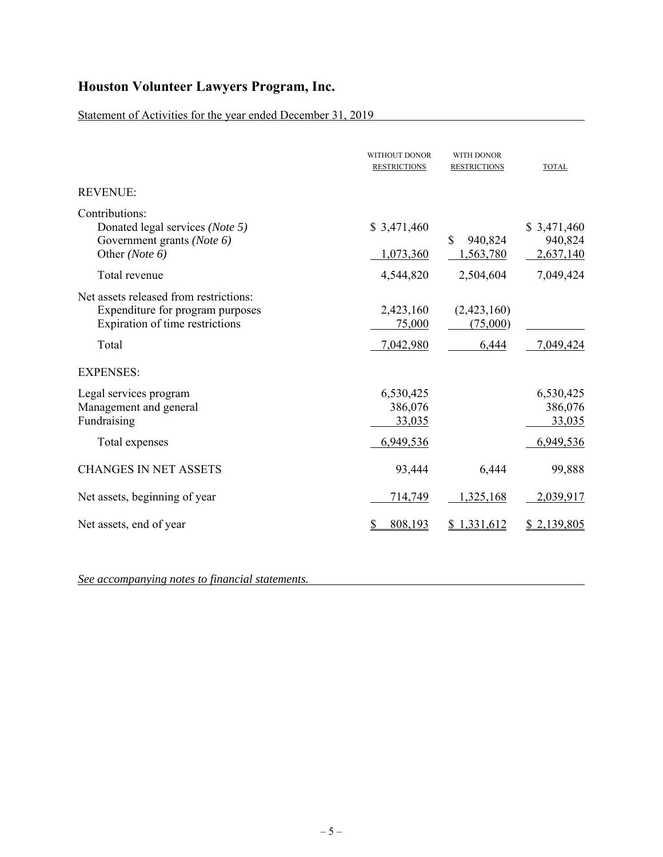# Statement of Activities for the year ended December 31, 2019

|                                                                                                                        | WITHOUT DONOR<br><b>RESTRICTIONS</b>        | <b>WITH DONOR</b><br><b>RESTRICTIONS</b> | <b>TOTAL</b>                                |
|------------------------------------------------------------------------------------------------------------------------|---------------------------------------------|------------------------------------------|---------------------------------------------|
| <b>REVENUE:</b>                                                                                                        |                                             |                                          |                                             |
| Contributions:<br>Donated legal services (Note 5)<br>Government grants (Note 6)<br>Other (Note 6)                      | \$3,471,460<br>1,073,360                    | $\mathbb{S}$<br>940,824<br>1,563,780     | \$3,471,460<br>940,824<br>2,637,140         |
| Total revenue                                                                                                          | 4,544,820                                   | 2,504,604                                | 7,049,424                                   |
| Net assets released from restrictions:<br>Expenditure for program purposes<br>Expiration of time restrictions<br>Total | 2,423,160<br>75,000<br>7,042,980            | (2,423,160)<br>(75,000)<br>6,444         | 7,049,424                                   |
| <b>EXPENSES:</b>                                                                                                       |                                             |                                          |                                             |
| Legal services program<br>Management and general<br>Fundraising<br>Total expenses                                      | 6,530,425<br>386,076<br>33,035<br>6,949,536 |                                          | 6,530,425<br>386,076<br>33,035<br>6,949,536 |
| <b>CHANGES IN NET ASSETS</b>                                                                                           | 93,444                                      | 6,444                                    | 99,888                                      |
| Net assets, beginning of year                                                                                          | 714,749                                     | 1,325,168                                | 2,039,917                                   |
| Net assets, end of year                                                                                                | 808,193                                     | \$1,331,612                              | 2,139,805                                   |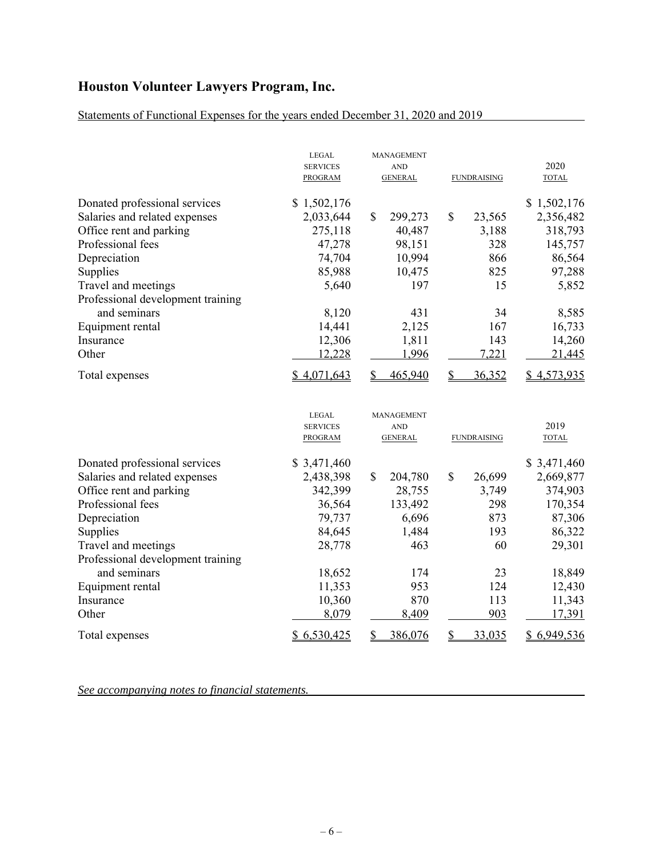Statements of Functional Expenses for the years ended December 31, 2020 and 2019

|                                   | <b>LEGAL</b><br><b>SERVICES</b><br><b>PROGRAM</b> | <b>MANAGEMENT</b><br><b>AND</b><br><b>GENERAL</b> | <b>FUNDRAISING</b> | 2020<br><b>TOTAL</b> |
|-----------------------------------|---------------------------------------------------|---------------------------------------------------|--------------------|----------------------|
| Donated professional services     | \$1,502,176                                       |                                                   |                    | \$1,502,176          |
| Salaries and related expenses     | 2,033,644                                         | <sup>\$</sup><br>299,273                          | \$<br>23,565       | 2,356,482            |
| Office rent and parking           | 275,118                                           | 40,487                                            | 3,188              | 318,793              |
| Professional fees                 | 47,278                                            | 98,151                                            | 328                | 145,757              |
| Depreciation                      | 74,704                                            | 10,994                                            | 866                | 86,564               |
| Supplies                          | 85,988                                            | 10,475                                            | 825                | 97,288               |
| Travel and meetings               | 5,640                                             | 197                                               | 15                 | 5,852                |
| Professional development training |                                                   |                                                   |                    |                      |
| and seminars                      | 8,120                                             | 431                                               | 34                 | 8,585                |
| Equipment rental                  | 14,441                                            | 2,125                                             | 167                | 16,733               |
| Insurance                         | 12,306                                            | 1,811                                             | 143                | 14,260               |
| Other                             | 12,228                                            | 1,996                                             | 7,221              | 21,445               |
| Total expenses                    | \$4,071,643                                       | 465,940                                           | 36,352             | \$4,573,935          |
|                                   | <b>LEGAL</b>                                      | <b>MANAGEMENT</b>                                 |                    |                      |
|                                   | <b>SERVICES</b>                                   | <b>AND</b>                                        |                    | 2019                 |
|                                   | <b>PROGRAM</b>                                    | <b>GENERAL</b>                                    | <b>FUNDRAISING</b> | <b>TOTAL</b>         |

| Donated professional services     | \$3,471,460 |              |              | \$3,471,460 |
|-----------------------------------|-------------|--------------|--------------|-------------|
| Salaries and related expenses     | 2,438,398   | S<br>204,780 | \$<br>26,699 | 2,669,877   |
| Office rent and parking           | 342,399     | 28,755       | 3,749        | 374,903     |
| Professional fees                 | 36,564      | 133,492      | 298          | 170,354     |
| Depreciation                      | 79,737      | 6,696        | 873          | 87,306      |
| Supplies                          | 84,645      | 1,484        | 193          | 86,322      |
| Travel and meetings               | 28,778      | 463          | 60           | 29,301      |
| Professional development training |             |              |              |             |
| and seminars                      | 18,652      | 174          | 23           | 18,849      |
| Equipment rental                  | 11,353      | 953          | 124          | 12,430      |
| Insurance                         | 10,360      | 870          | 113          | 11,343      |
| Other                             | 8,079       | 8,409        | 903          | 17,391      |
| Total expenses                    | \$6,530,425 | 386,076      | 33,035       | \$6,949,536 |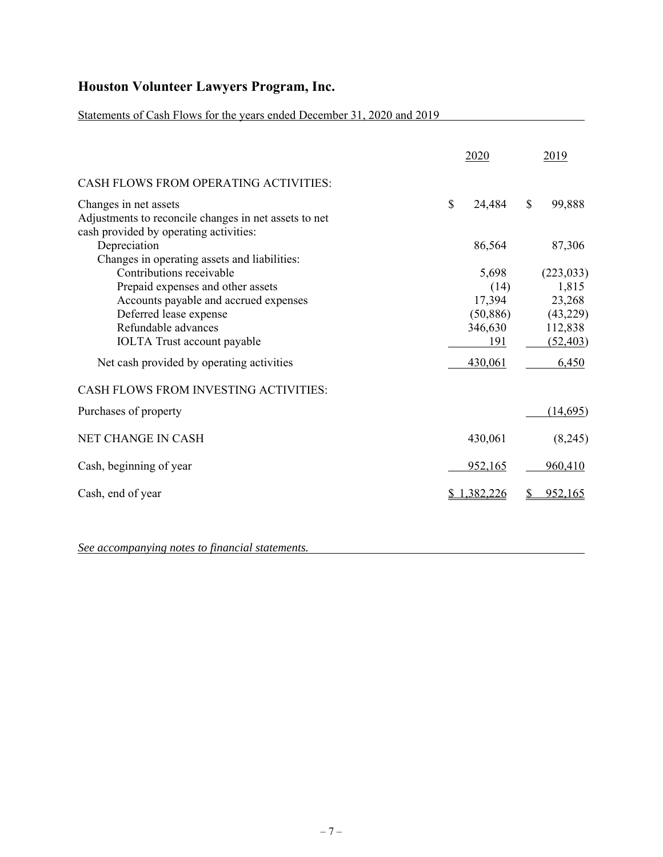Statements of Cash Flows for the years ended December 31, 2020 and 2019

|                                                                                                                          |              | 2020        |             | 2019       |
|--------------------------------------------------------------------------------------------------------------------------|--------------|-------------|-------------|------------|
| <b>CASH FLOWS FROM OPERATING ACTIVITIES:</b>                                                                             |              |             |             |            |
| Changes in net assets<br>Adjustments to reconcile changes in net assets to net<br>cash provided by operating activities: | $\mathbb{S}$ | 24,484      | $\mathbf S$ | 99,888     |
| Depreciation<br>Changes in operating assets and liabilities:                                                             |              | 86,564      |             | 87,306     |
| Contributions receivable                                                                                                 |              | 5,698       |             | (223, 033) |
| Prepaid expenses and other assets                                                                                        |              | (14)        |             | 1,815      |
| Accounts payable and accrued expenses                                                                                    |              | 17,394      |             | 23,268     |
| Deferred lease expense                                                                                                   |              | (50, 886)   |             | (43,229)   |
| Refundable advances                                                                                                      |              | 346,630     |             | 112,838    |
| <b>IOLTA</b> Trust account payable                                                                                       |              | 191         |             | (52, 403)  |
| Net cash provided by operating activities                                                                                |              | 430,061     |             | 6,450      |
| CASH FLOWS FROM INVESTING ACTIVITIES:                                                                                    |              |             |             |            |
| Purchases of property                                                                                                    |              |             |             | (14,695)   |
| <b>NET CHANGE IN CASH</b>                                                                                                |              | 430,061     |             | (8,245)    |
| Cash, beginning of year                                                                                                  |              | 952,165     |             | 960,410    |
| Cash, end of year                                                                                                        |              | \$1,382,226 |             | 952,165    |
|                                                                                                                          |              |             |             |            |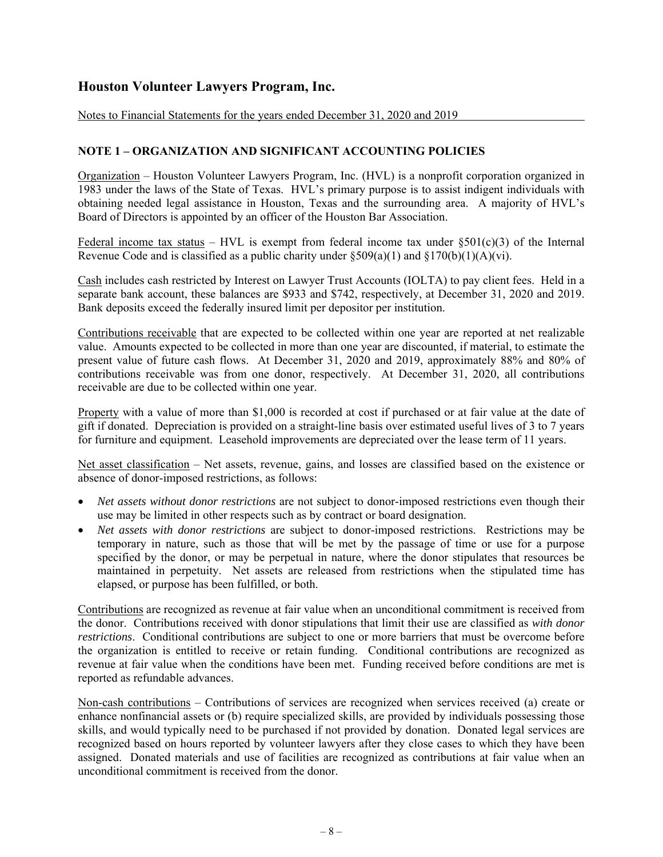Notes to Financial Statements for the years ended December 31, 2020 and 2019

# **NOTE 1 – ORGANIZATION AND SIGNIFICANT ACCOUNTING POLICIES**

Organization – Houston Volunteer Lawyers Program, Inc. (HVL) is a nonprofit corporation organized in 1983 under the laws of the State of Texas. HVL's primary purpose is to assist indigent individuals with obtaining needed legal assistance in Houston, Texas and the surrounding area. A majority of HVL's Board of Directors is appointed by an officer of the Houston Bar Association.

Federal income tax status – HVL is exempt from federal income tax under  $\S501(c)(3)$  of the Internal Revenue Code and is classified as a public charity under  $\S 509(a)(1)$  and  $\S 170(b)(1)(A)(vi)$ .

Cash includes cash restricted by Interest on Lawyer Trust Accounts (IOLTA) to pay client fees. Held in a separate bank account, these balances are \$933 and \$742, respectively, at December 31, 2020 and 2019. Bank deposits exceed the federally insured limit per depositor per institution.

Contributions receivable that are expected to be collected within one year are reported at net realizable value. Amounts expected to be collected in more than one year are discounted, if material, to estimate the present value of future cash flows. At December 31, 2020 and 2019, approximately 88% and 80% of contributions receivable was from one donor, respectively. At December 31, 2020, all contributions receivable are due to be collected within one year.

Property with a value of more than \$1,000 is recorded at cost if purchased or at fair value at the date of gift if donated. Depreciation is provided on a straight-line basis over estimated useful lives of 3 to 7 years for furniture and equipment. Leasehold improvements are depreciated over the lease term of 11 years.

Net asset classification – Net assets, revenue, gains, and losses are classified based on the existence or absence of donor-imposed restrictions, as follows:

- *Net assets without donor restrictions* are not subject to donor-imposed restrictions even though their use may be limited in other respects such as by contract or board designation.
- *Net assets with donor restrictions* are subject to donor-imposed restrictions. Restrictions may be temporary in nature, such as those that will be met by the passage of time or use for a purpose specified by the donor, or may be perpetual in nature, where the donor stipulates that resources be maintained in perpetuity. Net assets are released from restrictions when the stipulated time has elapsed, or purpose has been fulfilled, or both.

Contributions are recognized as revenue at fair value when an unconditional commitment is received from the donor. Contributions received with donor stipulations that limit their use are classified as *with donor restrictions*. Conditional contributions are subject to one or more barriers that must be overcome before the organization is entitled to receive or retain funding. Conditional contributions are recognized as revenue at fair value when the conditions have been met. Funding received before conditions are met is reported as refundable advances.

Non-cash contributions – Contributions of services are recognized when services received (a) create or enhance nonfinancial assets or (b) require specialized skills, are provided by individuals possessing those skills, and would typically need to be purchased if not provided by donation. Donated legal services are recognized based on hours reported by volunteer lawyers after they close cases to which they have been assigned. Donated materials and use of facilities are recognized as contributions at fair value when an unconditional commitment is received from the donor.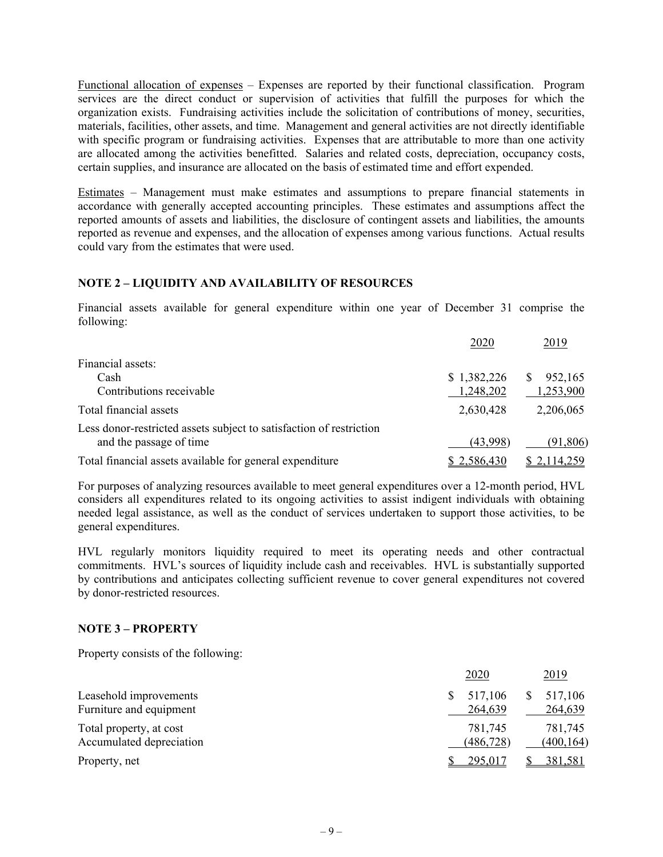Functional allocation of expenses – Expenses are reported by their functional classification. Program services are the direct conduct or supervision of activities that fulfill the purposes for which the organization exists. Fundraising activities include the solicitation of contributions of money, securities, materials, facilities, other assets, and time. Management and general activities are not directly identifiable with specific program or fundraising activities. Expenses that are attributable to more than one activity are allocated among the activities benefitted. Salaries and related costs, depreciation, occupancy costs, certain supplies, and insurance are allocated on the basis of estimated time and effort expended.

Estimates – Management must make estimates and assumptions to prepare financial statements in accordance with generally accepted accounting principles. These estimates and assumptions affect the reported amounts of assets and liabilities, the disclosure of contingent assets and liabilities, the amounts reported as revenue and expenses, and the allocation of expenses among various functions. Actual results could vary from the estimates that were used.

# **NOTE 2 – LIQUIDITY AND AVAILABILITY OF RESOURCES**

Financial assets available for general expenditure within one year of December 31 comprise the following:

|                                                                                                | 2020        | 2019          |
|------------------------------------------------------------------------------------------------|-------------|---------------|
| Financial assets:                                                                              |             |               |
| Cash                                                                                           | \$1,382,226 | 952,165<br>S. |
| Contributions receivable                                                                       | 1,248,202   | 1,253,900     |
| Total financial assets                                                                         | 2,630,428   | 2,206,065     |
| Less donor-restricted assets subject to satisfaction of restriction<br>and the passage of time | (43,998)    | (91,806)      |
| Total financial assets available for general expenditure                                       | \$2,586,430 | \$2,114,259   |

For purposes of analyzing resources available to meet general expenditures over a 12-month period, HVL considers all expenditures related to its ongoing activities to assist indigent individuals with obtaining needed legal assistance, as well as the conduct of services undertaken to support those activities, to be general expenditures.

HVL regularly monitors liquidity required to meet its operating needs and other contractual commitments. HVL's sources of liquidity include cash and receivables. HVL is substantially supported by contributions and anticipates collecting sufficient revenue to cover general expenditures not covered by donor-restricted resources.

## **NOTE 3 – PROPERTY**

Property consists of the following:

|                                                     | 2020                  |    | 2019                  |
|-----------------------------------------------------|-----------------------|----|-----------------------|
| Leasehold improvements<br>Furniture and equipment   | 517,106<br>264,639    | S. | 517,106<br>264,639    |
| Total property, at cost<br>Accumulated depreciation | 781,745<br>(486, 728) |    | 781,745<br>(400, 164) |
| Property, net                                       | 295,017               |    | 381,581               |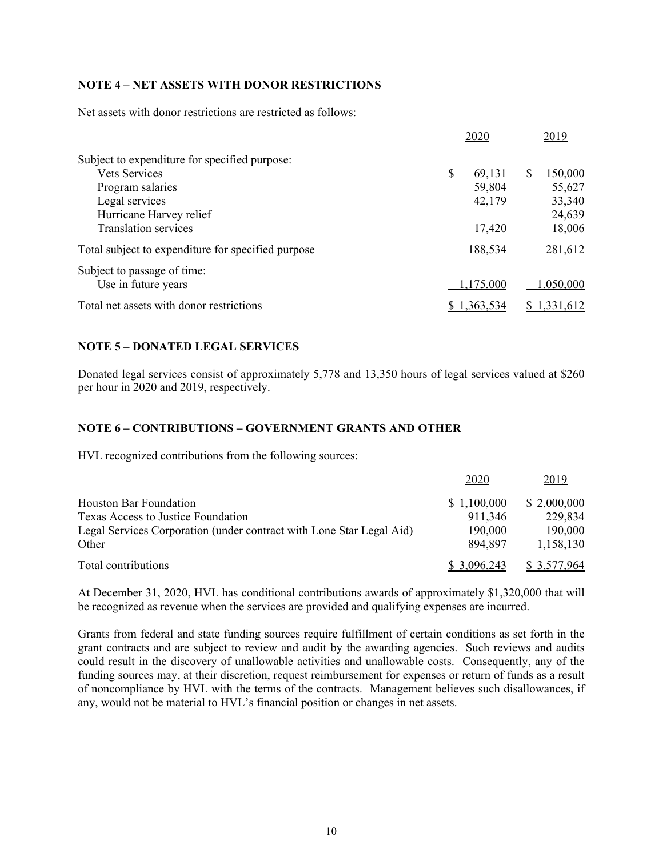# **NOTE 4 – NET ASSETS WITH DONOR RESTRICTIONS**

Net assets with donor restrictions are restricted as follows:

|                                                    | 2020         |   | 2019        |
|----------------------------------------------------|--------------|---|-------------|
| Subject to expenditure for specified purpose:      |              |   |             |
| <b>Vets Services</b>                               | \$<br>69,131 | S | 150,000     |
| Program salaries                                   | 59,804       |   | 55,627      |
| Legal services                                     | 42,179       |   | 33,340      |
| Hurricane Harvey relief                            |              |   | 24,639      |
| <b>Translation services</b>                        | 17,420       |   | 18,006      |
| Total subject to expenditure for specified purpose | 188,534      |   | 281,612     |
| Subject to passage of time:                        |              |   |             |
| Use in future years                                | 1,175,000    |   | 1,050,000   |
| Total net assets with donor restrictions           | \$1,363,534  |   | \$1,331,612 |

## **NOTE 5 – DONATED LEGAL SERVICES**

Donated legal services consist of approximately 5,778 and 13,350 hours of legal services valued at \$260 per hour in 2020 and 2019, respectively.

# **NOTE 6 – CONTRIBUTIONS – GOVERNMENT GRANTS AND OTHER**

HVL recognized contributions from the following sources:

|                                                                      | 2020         | 2019        |
|----------------------------------------------------------------------|--------------|-------------|
| Houston Bar Foundation                                               | \$1,100,000  | \$2,000,000 |
| Texas Access to Justice Foundation                                   | 911,346      | 229,834     |
| Legal Services Corporation (under contract with Lone Star Legal Aid) | 190,000      | 190,000     |
| Other                                                                | 894.897      | 1,158,130   |
| Total contributions                                                  | \$ 3,096,243 | \$3,577,964 |

At December 31, 2020, HVL has conditional contributions awards of approximately \$1,320,000 that will be recognized as revenue when the services are provided and qualifying expenses are incurred.

Grants from federal and state funding sources require fulfillment of certain conditions as set forth in the grant contracts and are subject to review and audit by the awarding agencies. Such reviews and audits could result in the discovery of unallowable activities and unallowable costs. Consequently, any of the funding sources may, at their discretion, request reimbursement for expenses or return of funds as a result of noncompliance by HVL with the terms of the contracts. Management believes such disallowances, if any, would not be material to HVL's financial position or changes in net assets.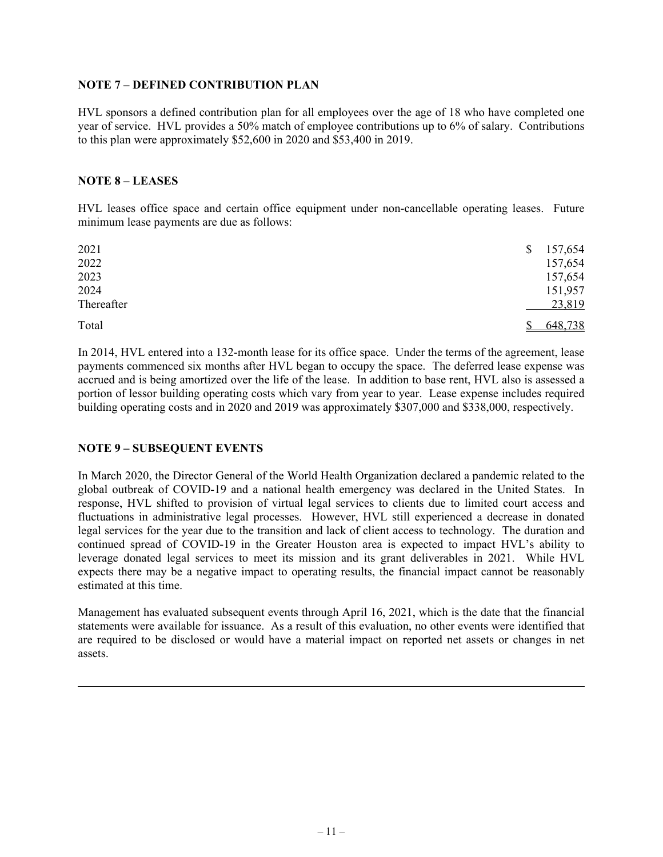# **NOTE 7 – DEFINED CONTRIBUTION PLAN**

HVL sponsors a defined contribution plan for all employees over the age of 18 who have completed one year of service. HVL provides a 50% match of employee contributions up to 6% of salary. Contributions to this plan were approximately \$52,600 in 2020 and \$53,400 in 2019.

## **NOTE 8 – LEASES**

HVL leases office space and certain office equipment under non-cancellable operating leases. Future minimum lease payments are due as follows:

| 2021       | 157,654<br>\$ |
|------------|---------------|
| 2022       | 157,654       |
| 2023       | 157,654       |
| 2024       | 151,957       |
| Thereafter | 23,819        |
| Total      | 648,738       |

In 2014, HVL entered into a 132-month lease for its office space. Under the terms of the agreement, lease payments commenced six months after HVL began to occupy the space. The deferred lease expense was accrued and is being amortized over the life of the lease. In addition to base rent, HVL also is assessed a portion of lessor building operating costs which vary from year to year. Lease expense includes required building operating costs and in 2020 and 2019 was approximately \$307,000 and \$338,000, respectively.

## **NOTE 9 – SUBSEQUENT EVENTS**

In March 2020, the Director General of the World Health Organization declared a pandemic related to the global outbreak of COVID-19 and a national health emergency was declared in the United States. In response, HVL shifted to provision of virtual legal services to clients due to limited court access and fluctuations in administrative legal processes. However, HVL still experienced a decrease in donated legal services for the year due to the transition and lack of client access to technology. The duration and continued spread of COVID-19 in the Greater Houston area is expected to impact HVL's ability to leverage donated legal services to meet its mission and its grant deliverables in 2021. While HVL expects there may be a negative impact to operating results, the financial impact cannot be reasonably estimated at this time.

Management has evaluated subsequent events through April 16, 2021, which is the date that the financial statements were available for issuance. As a result of this evaluation, no other events were identified that are required to be disclosed or would have a material impact on reported net assets or changes in net assets.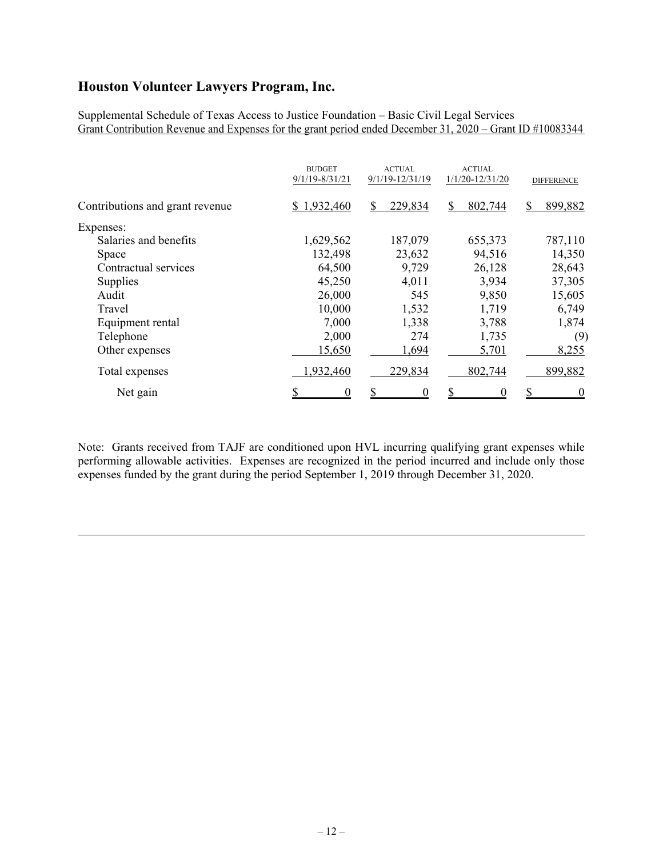Supplemental Schedule of Texas Access to Justice Foundation – Basic Civil Legal Services Grant Contribution Revenue and Expenses for the grant period ended December 31, 2020 – Grant ID #10083344

|                                 | <b>BUDGET</b><br>$9/1/19 - 8/31/21$ | <b>ACTUAL</b><br>$9/1/19 - 12/31/19$ | <b>ACTUAL</b><br>1/1/20-12/31/20 | <b>DIFFERENCE</b> |
|---------------------------------|-------------------------------------|--------------------------------------|----------------------------------|-------------------|
| Contributions and grant revenue | \$1,932,460                         | 229,834<br>S                         | \$<br>802,744                    | \$<br>899,882     |
| Expenses:                       |                                     |                                      |                                  |                   |
| Salaries and benefits           | 1,629,562                           | 187,079                              | 655,373                          | 787,110           |
| Space                           | 132,498                             | 23,632                               | 94,516                           | 14,350            |
| Contractual services            | 64,500                              | 9,729                                | 26,128                           | 28,643            |
| Supplies                        | 45,250                              | 4,011                                | 3,934                            | 37,305            |
| Audit                           | 26,000                              | 545                                  | 9,850                            | 15,605            |
| Travel                          | 10,000                              | 1,532                                | 1,719                            | 6,749             |
| Equipment rental                | 7,000                               | 1,338                                | 3,788                            | 1,874             |
| Telephone                       | 2,000                               | 274                                  | 1,735                            | (9)               |
| Other expenses                  | 15,650                              | 1,694                                | 5,701                            | 8,255             |
| Total expenses                  | 1,932,460                           | 229,834                              | 802,744                          | 899,882           |
| Net gain                        |                                     |                                      |                                  |                   |

Note: Grants received from TAJF are conditioned upon HVL incurring qualifying grant expenses while performing allowable activities. Expenses are recognized in the period incurred and include only those expenses funded by the grant during the period September 1, 2019 through December 31, 2020.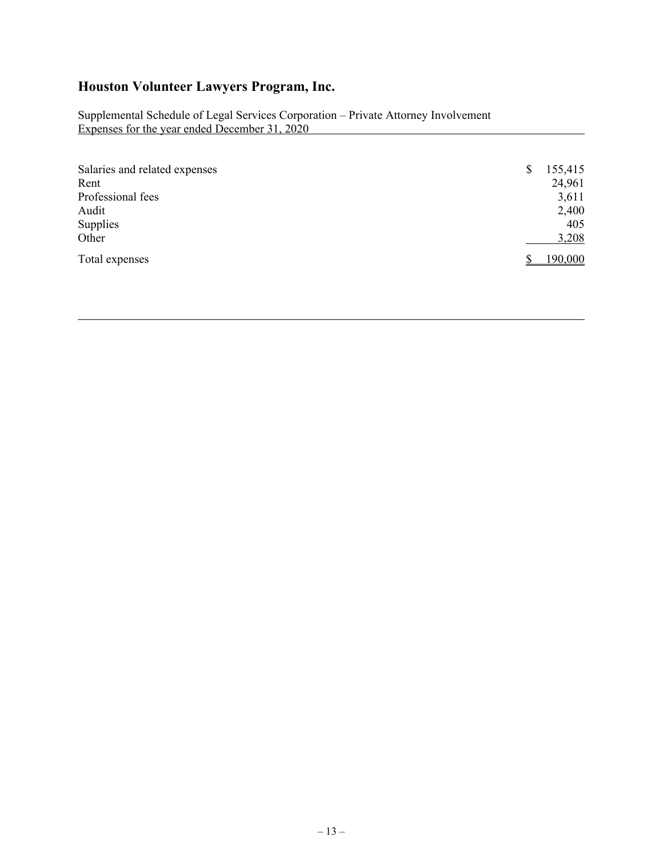Supplemental Schedule of Legal Services Corporation – Private Attorney Involvement Expenses for the year ended December 31, 2020

| 155,415 |
|---------|
| 24,961  |
| 3,611   |
| 2,400   |
| 405     |
| 3,208   |
| 190,000 |
|         |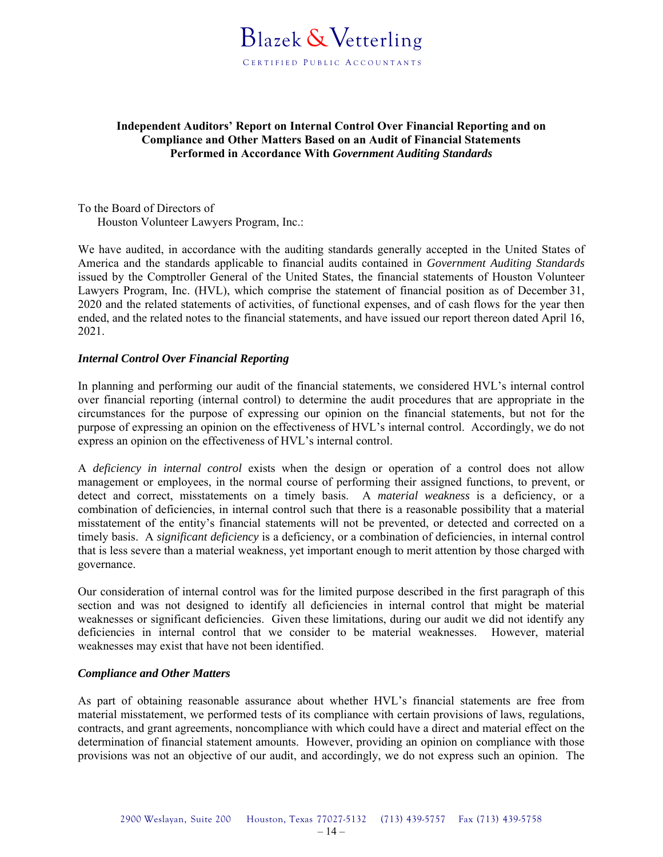

# **Independent Auditors' Report on Internal Control Over Financial Reporting and on Compliance and Other Matters Based on an Audit of Financial Statements Performed in Accordance With** *Government Auditing Standards*

To the Board of Directors of Houston Volunteer Lawyers Program, Inc.:

We have audited, in accordance with the auditing standards generally accepted in the United States of America and the standards applicable to financial audits contained in *Government Auditing Standards* issued by the Comptroller General of the United States, the financial statements of Houston Volunteer Lawyers Program, Inc. (HVL), which comprise the statement of financial position as of December 31, 2020 and the related statements of activities, of functional expenses, and of cash flows for the year then ended, and the related notes to the financial statements, and have issued our report thereon dated April 16, 2021.

### *Internal Control Over Financial Reporting*

In planning and performing our audit of the financial statements, we considered HVL's internal control over financial reporting (internal control) to determine the audit procedures that are appropriate in the circumstances for the purpose of expressing our opinion on the financial statements, but not for the purpose of expressing an opinion on the effectiveness of HVL's internal control. Accordingly, we do not express an opinion on the effectiveness of HVL's internal control.

A *deficiency in internal control* exists when the design or operation of a control does not allow management or employees, in the normal course of performing their assigned functions, to prevent, or detect and correct, misstatements on a timely basis. A *material weakness* is a deficiency, or a combination of deficiencies, in internal control such that there is a reasonable possibility that a material misstatement of the entity's financial statements will not be prevented, or detected and corrected on a timely basis. A *significant deficiency* is a deficiency, or a combination of deficiencies, in internal control that is less severe than a material weakness, yet important enough to merit attention by those charged with governance.

Our consideration of internal control was for the limited purpose described in the first paragraph of this section and was not designed to identify all deficiencies in internal control that might be material weaknesses or significant deficiencies. Given these limitations, during our audit we did not identify any deficiencies in internal control that we consider to be material weaknesses. However, material weaknesses may exist that have not been identified.

#### *Compliance and Other Matters*

As part of obtaining reasonable assurance about whether HVL's financial statements are free from material misstatement, we performed tests of its compliance with certain provisions of laws, regulations, contracts, and grant agreements, noncompliance with which could have a direct and material effect on the determination of financial statement amounts. However, providing an opinion on compliance with those provisions was not an objective of our audit, and accordingly, we do not express such an opinion. The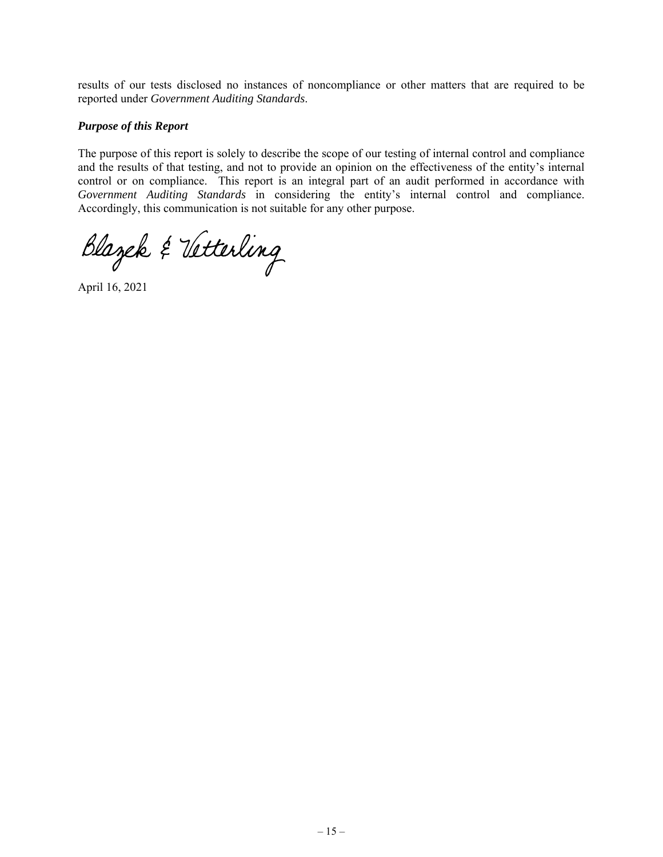results of our tests disclosed no instances of noncompliance or other matters that are required to be reported under *Government Auditing Standards*.

## *Purpose of this Report*

The purpose of this report is solely to describe the scope of our testing of internal control and compliance and the results of that testing, and not to provide an opinion on the effectiveness of the entity's internal control or on compliance. This report is an integral part of an audit performed in accordance with *Government Auditing Standards* in considering the entity's internal control and compliance. Accordingly, this communication is not suitable for any other purpose.

Blazek & Vetterling

April 16, 2021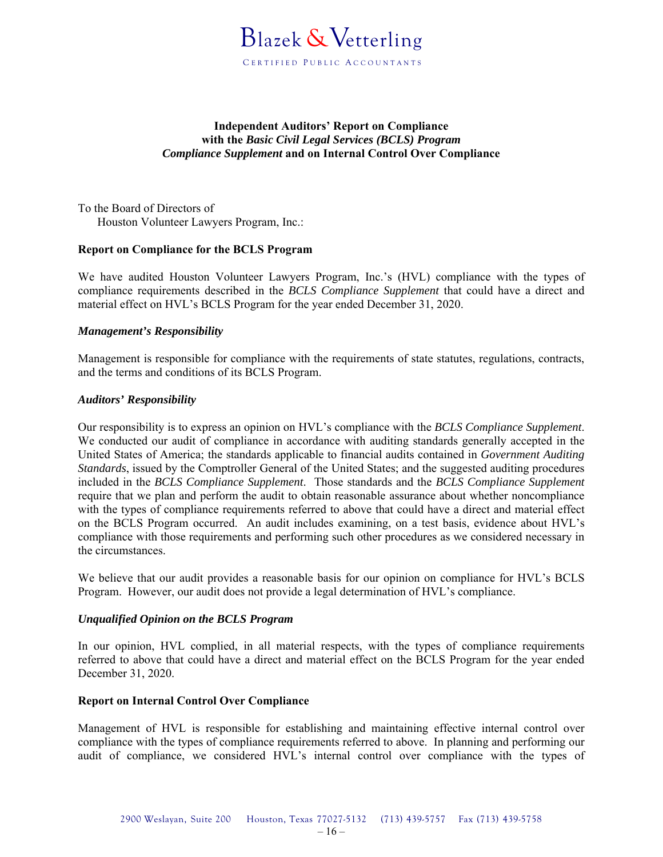

# **Independent Auditors' Report on Compliance with the** *Basic Civil Legal Services (BCLS) Program Compliance Supplement* **and on Internal Control Over Compliance**

To the Board of Directors of Houston Volunteer Lawyers Program, Inc.:

#### **Report on Compliance for the BCLS Program**

We have audited Houston Volunteer Lawyers Program, Inc.'s (HVL) compliance with the types of compliance requirements described in the *BCLS Compliance Supplement* that could have a direct and material effect on HVL's BCLS Program for the year ended December 31, 2020.

#### *Management's Responsibility*

Management is responsible for compliance with the requirements of state statutes, regulations, contracts, and the terms and conditions of its BCLS Program.

#### *Auditors' Responsibility*

Our responsibility is to express an opinion on HVL's compliance with the *BCLS Compliance Supplement*. We conducted our audit of compliance in accordance with auditing standards generally accepted in the United States of America; the standards applicable to financial audits contained in *Government Auditing Standards*, issued by the Comptroller General of the United States; and the suggested auditing procedures included in the *BCLS Compliance Supplement*. Those standards and the *BCLS Compliance Supplement* require that we plan and perform the audit to obtain reasonable assurance about whether noncompliance with the types of compliance requirements referred to above that could have a direct and material effect on the BCLS Program occurred. An audit includes examining, on a test basis, evidence about HVL's compliance with those requirements and performing such other procedures as we considered necessary in the circumstances.

We believe that our audit provides a reasonable basis for our opinion on compliance for HVL's BCLS Program. However, our audit does not provide a legal determination of HVL's compliance.

## *Unqualified Opinion on the BCLS Program*

In our opinion, HVL complied, in all material respects, with the types of compliance requirements referred to above that could have a direct and material effect on the BCLS Program for the year ended December 31, 2020.

#### **Report on Internal Control Over Compliance**

Management of HVL is responsible for establishing and maintaining effective internal control over compliance with the types of compliance requirements referred to above. In planning and performing our audit of compliance, we considered HVL's internal control over compliance with the types of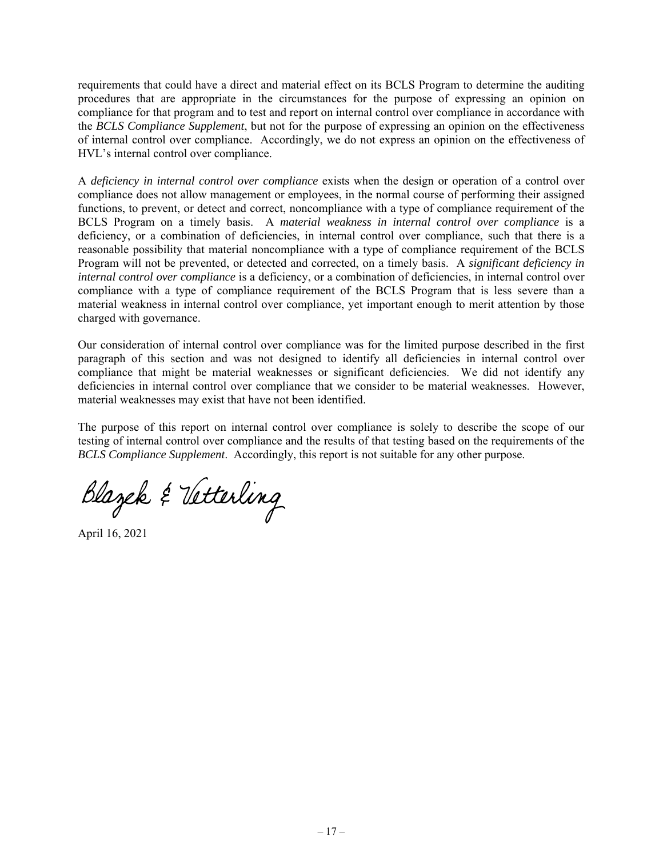requirements that could have a direct and material effect on its BCLS Program to determine the auditing procedures that are appropriate in the circumstances for the purpose of expressing an opinion on compliance for that program and to test and report on internal control over compliance in accordance with the *BCLS Compliance Supplement*, but not for the purpose of expressing an opinion on the effectiveness of internal control over compliance. Accordingly, we do not express an opinion on the effectiveness of HVL's internal control over compliance.

A *deficiency in internal control over compliance* exists when the design or operation of a control over compliance does not allow management or employees, in the normal course of performing their assigned functions, to prevent, or detect and correct, noncompliance with a type of compliance requirement of the BCLS Program on a timely basis. A *material weakness in internal control over compliance* is a deficiency, or a combination of deficiencies, in internal control over compliance, such that there is a reasonable possibility that material noncompliance with a type of compliance requirement of the BCLS Program will not be prevented, or detected and corrected, on a timely basis. A *significant deficiency in internal control over compliance* is a deficiency, or a combination of deficiencies, in internal control over compliance with a type of compliance requirement of the BCLS Program that is less severe than a material weakness in internal control over compliance, yet important enough to merit attention by those charged with governance.

Our consideration of internal control over compliance was for the limited purpose described in the first paragraph of this section and was not designed to identify all deficiencies in internal control over compliance that might be material weaknesses or significant deficiencies. We did not identify any deficiencies in internal control over compliance that we consider to be material weaknesses. However, material weaknesses may exist that have not been identified.

The purpose of this report on internal control over compliance is solely to describe the scope of our testing of internal control over compliance and the results of that testing based on the requirements of the *BCLS Compliance Supplement*. Accordingly, this report is not suitable for any other purpose.

Blazek & Vetterling

April 16, 2021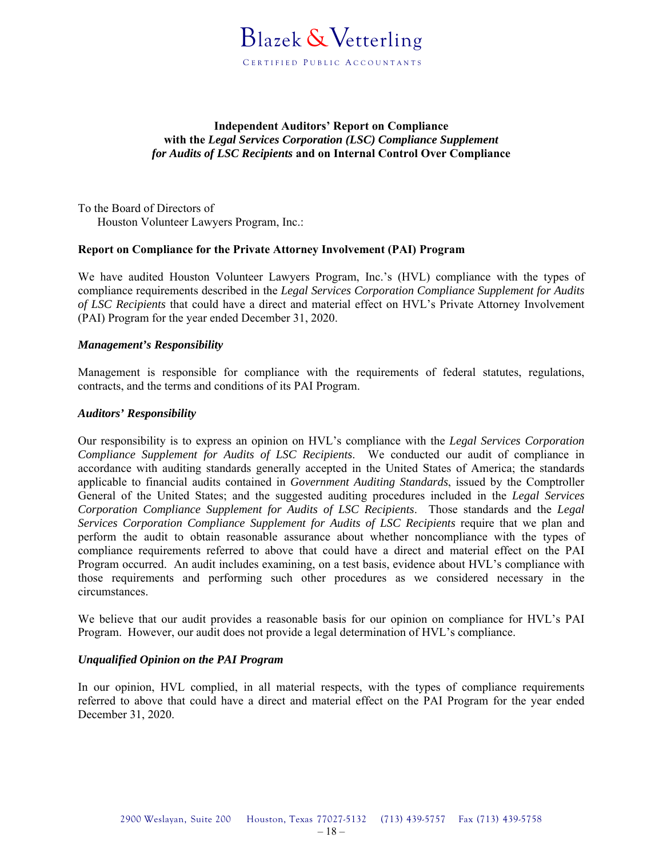

## **Independent Auditors' Report on Compliance with the** *Legal Services Corporation (LSC) Compliance Supplement for Audits of LSC Recipients* **and on Internal Control Over Compliance**

To the Board of Directors of Houston Volunteer Lawyers Program, Inc.:

#### **Report on Compliance for the Private Attorney Involvement (PAI) Program**

We have audited Houston Volunteer Lawyers Program, Inc.'s (HVL) compliance with the types of compliance requirements described in the *Legal Services Corporation Compliance Supplement for Audits of LSC Recipients* that could have a direct and material effect on HVL's Private Attorney Involvement (PAI) Program for the year ended December 31, 2020.

### *Management's Responsibility*

Management is responsible for compliance with the requirements of federal statutes, regulations, contracts, and the terms and conditions of its PAI Program.

#### *Auditors' Responsibility*

Our responsibility is to express an opinion on HVL's compliance with the *Legal Services Corporation Compliance Supplement for Audits of LSC Recipients*. We conducted our audit of compliance in accordance with auditing standards generally accepted in the United States of America; the standards applicable to financial audits contained in *Government Auditing Standards*, issued by the Comptroller General of the United States; and the suggested auditing procedures included in the *Legal Services Corporation Compliance Supplement for Audits of LSC Recipients*. Those standards and the *Legal Services Corporation Compliance Supplement for Audits of LSC Recipients* require that we plan and perform the audit to obtain reasonable assurance about whether noncompliance with the types of compliance requirements referred to above that could have a direct and material effect on the PAI Program occurred. An audit includes examining, on a test basis, evidence about HVL's compliance with those requirements and performing such other procedures as we considered necessary in the circumstances.

We believe that our audit provides a reasonable basis for our opinion on compliance for HVL's PAI Program. However, our audit does not provide a legal determination of HVL's compliance.

#### *Unqualified Opinion on the PAI Program*

In our opinion, HVL complied, in all material respects, with the types of compliance requirements referred to above that could have a direct and material effect on the PAI Program for the year ended December 31, 2020.